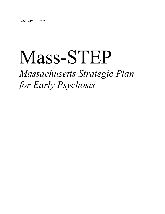# Mass-STEP

## *Massachusetts Strategic Plan for Early Psychosis*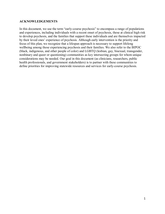#### **ACKNOWLEDGEMENTS**

In this document, we use the term "early-course psychosis" to encompass a range of populations and experiences, including individuals with a recent onset of psychosis, those at clinical high risk to develop psychosis, and the families that support these individuals and are themselves impacted by their loved ones' experience of psychosis. Although early intervention is the priority and focus of this plan, we recognize that a lifespan approach is necessary to support lifelong wellbeing among those experiencing psychosis and their families. We also refer to the BIPOC (black, indigenous, and other people of color) and LGBTQ (lesbian, gay, bisexual, transgender, nonbinary and queer or questioning) communities as key intersecting groups for whom unique considerations may be needed. Our goal in this document (as clinicians, researchers, public health professionals, and government stakeholders) is to partner with these communities to define priorities for improving statewide resources and services for early-course psychosis.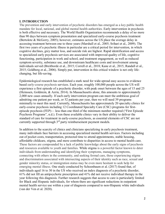#### **I. INTRODUCTION**

The prevention and early intervention of psychotic disorders has emerged as a key public health mandate for local, national, and global mental health authorities. Early intervention in psychosis is both effective and necessary. The World Health Organization recommends a delay of no more than 90 days between symptom presentation and specialized early-course psychosis treatment (Bertolote & McGorry, 2005); however, estimates across the US place the average delay in accessing treatment between one to three years (Marshall et al., 2005; Srihari et al., 2009). The first two years of a psychotic illness in particular are a critical period for intervention, in which cognitive declines, grey matter loss, and suicide risk are highest. Rapid identification and access to specialized early psychosis services are associated with improved quality of life, cognitive functioning, participation in work and school, and treatment engagement, as well as reduced symptom severity, substance use, and downstream healthcare costs and involvement among individuals served (Breitborde et al., 2015; Correll et al., 2018; Kane et al., 2015, Randall et al., 2015; Goldberg et al., 2006). Simply put, intervention in this critical window is not only lifechanging, but life-saving.

Epidemiological research has established a stark need for wide-spread easy access to evidence based early-course psychosis services. Each year, roughly 100,000 people across the US will experience a first episode of a psychotic disorder, with peak onset between the ages of 15 and 25 (Heinssen, Goldstein, & Azrin, 2014). In Massachusetts alone, this amounts to approximately 2,000 new cases annually. If each early intervention program can meet the ambitious goal of admitting one patient per week, or 52 patients per year, then we will need 39 programs minimally to meet this need. Currently, Massachusetts has approximately 20 specialty clinics for early-course psychosis including 12 Coordinated Specialty Care (CSC) programs for firstepisode psychosis (FEP)— less than one third of the minimum number required ("First Episode Psychosis Programs", n.d.). Even these available clinics vary in their ability to deliver the standard of care for treatment in early-course psychosis, as essential elements of CSC are not currently supported through  $3<sup>rd</sup>$  party reimbursement payment models.

In addition to the scarcity of clinics and clinicians specializing in early psychosis treatment, many individuals face barriers in accessing specialized mental health services. Factors including out of pocket costs, transportation, protected time to attend appointments, stable housing, affordable childcare, stigma, and more contribute to disparities in access to mental health care. These factors are compounded by a lack of public knowledge about the early signs of psychosis and resources available to youth and families. While stigma is a powerful factor known to deter individuals from understanding and identifying their symptoms, managing symptoms, connecting with others in the community, and seeking formal care, those experiencing stigma and discrimination associated with intersecting aspects of their identity such as race, sexual and gender minority status, or immigration status may be even more hesitant to seek help for emerging mental illness. One study conducted by Schoenbaum et al. (2017) found that, of individuals aged 16 to 30 in the US who received an index diagnosis of a psychotic disorder, 61% did not fill an antipsychotic prescription and 41% did not receive individual therapy in the year following this diagnosis. Further research suggests that access to care is particularly limited for Black and Hispanic individuals, for whom there are significant reductions in outpatient mental health service use within a year of diagnosis compared to non-Hispanic white individuals (van der Ven et al. 2020).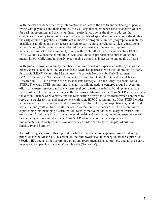With the clear evidence that early intervention is critical to the health and wellbeing of people living with psychosis and their families, the well-established evidence-based standards of care for early intervention, and the mental health parity laws, now is the time to address the challenges necessary to assure wide-spread availability of specialized services for individuals in the early course of psychosis. Insufficient numbers of programs, limited geographic availability, insufficient funding, and other access barriers to early-course psychosis services constitute an issue of equity both for individuals affected by psychosis who themselves represent an underserved subset of the community living with mental illness, and for intersecting BIPOC, LGBTQ, and low-income communities who shoulder a disproportionate burden of serious mental illness while simultaneously experiencing disparities in access to and quality of care.

With guidance from community members who have first-hand experience with psychosis and other expert stakeholders, the Massachusetts DMH has partnered with the Laboratory for Early Psychosis (LEAP) Center, the Massachusetts Psychosis Network for Early Treatment (MAPNET), and the Northeastern University Institute for Health Equity and Social Justice Research (IHESJR) to develop the Massachusetts Strategic Plan for Early Psychosis (Mass STEP). The Mass STEP outlines priorities for mobilizing actions centered around prevention efforts, treatment services, and the system-level coordination needed to build up an adequate system of care for individuals living with psychosis in Massachusetts. Mass STEP acknowledges the difficult history of psychiatry and the racialization of psychotic disorders which continues to serve as a barrier to trust and engagement with some BIPOC communities. Mass STEP includes attention to diversity in religion and spirituality, familial culture, language barriers, gender and sexuality, and youth culture. It also prioritizes attention to the needs of BIPOC communities experiencing and managing discrimination, racially motivated violence, marginalization, and exclusion. All of these factors impact mental health and well-being, including experiences of psychotic symptoms and disorders. Mass STEP advocates for the development and implementation of early-course psychosis services informed by the principles of cultural sensitivity and humility.

The following sections of this report describe the mixed-methods approach used to identify priorities for the Mass STEP (Section II), the framework used to conceptualize these priorities (Section III), and a list of overarching goals and recommendations to promote and advance early intervention in psychosis across Massachusetts (Section IV).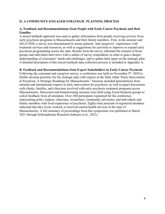#### **II. A COMMUNITY-ENGAGED STRATEGIC PLANNING PROCESS**

#### **A. Feedback and Recommendations from People with Early-Course Psychosis and their Families**

A mixed methods approach was used to gather information from people receiving services from early psychosis programs in Massachusetts and their family members. First, in the summer and fall of 2020, a survey was disseminated to assess patients' and caregivers' experiences with treatment services and resources, as well as suggestions for activities to improve or expand early psychosis programming across the state. Results from the survey informed the content of focus groups and individual interviews with a subset of survey respondents in order to gain a deeper understanding of consumers' needs and challenges, and to gather their input on the strategic plan. A detailed description of this mixed-methods data collection process is included in Appendix A.

#### **B. Feedback and Recommendations from Expert Stakeholders in Early-Course Psychosis**

Following the consumer and caregiver survey, a conference was held on November 5<sup>th</sup>, 2020 to further develop priorities for the strategic plan with experts in the field, titled "Early Intervention in Psychosis: A Strategic Roadmap for Massachusetts." Sessions included presentations from national and international experts in early intervention for psychosis, as well as panel discussions with clients, families, and clinicians involved with early psychosis treatment programs across Massachusetts. Discussion and brainstorming sessions were held using Zoom breakout groups to solicit feedback from all attendees. Over 200 participants registered for the conference, representing policy makers, clinicians, researchers, community advocates, and individuals and family members with lived experience of psychosis. Eighty-four perecent of registered attendees indicated that they lived, worked, or received mental health services in the state of Massachusetts. A full summary of proceedings from this symposium was published in March 2021 through Schizophrenia Research (Johnson et al., 2021).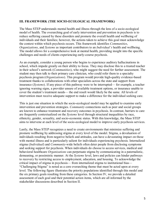#### **III. FRAMEWORK (THE SOCIO-ECOLOGICAL FRAMEWORK)**

The Mass STEP understands mental health and illness through the lens of a socio-ecological model of health. The overarching goal of early intervention and prevention in psychosis is to reduce suffering caused by these disorders and promote the overall health and wellbeing of individuals and their families; however, the actions taken to achieve this goal must acknowledge the context within which psychosis occurs. This framework identifies *Communities*, *Organizations*, and *Systems* as important contributors to an *Individual's* health and wellbeing. The model allows for a comprehensive look at mental health, providing insight into the specific challenges and needs of clients experiencing early-course psychosis.

As an example, consider a young person who begins to experience auditory hallucinations in school, which impede greatly on their ability to focus. They may disclose this to a trusted teacher in their school's network (*Communities*), who might suggest the need for further assessment. The student may then talk to their primary care clinician, who could refer them to a specialty psychosis program (*Organizations*). This program would provide high-quality evidence-based treatment thanks to collaborations with other specialists across the state and support from insurance (*Systems*). If any piece of this pathway were to be interrupted— for example, a teacher ignoring warning signs, a provider unsure of available treatment options, or insurance unable to cover the student's treatment needs— the end result would likely be the same. All levels of intervention must receive adequate support to make a difference for the individual seeking care.

This is just one situation in which the socio-ecological model may be applied to examine early intervention and prevention strategies. *Community* connections such as peer and social groups are known to enhance treatment and recovery outcomes in psychosis. In contrast, barriers to care are frequently contextualized on the *Systems* level through structural inequalities by race, ethnicity, gender, sexuality, and socio-economic status. With this knowledge, the Mass STEP aims to intervene at each level of the socio-ecological model to improve early psychosis services.

Lastly, the Mass STEP recognizes a need to create environments that minimize suffering and promote wellbeing by addressing stigma at every level of the model. Stigma, a devaluation of individuals resulting from negative beliefs and attitudes, can have a devastating impact on those with mental illness and is particularly salient for individuals experiencing psychosis. Internalized stigma (*Individual*) and *Community*-wide beliefs often deter people from disclosing symptoms and seeking support for psychosis. When individuals do choose to access services, medical and behavioral healthcare *Organizations* can perpetuate stigma by communicating in a paternalistic, demeaning, or pessimistic manner. At the *Systems* level, laws and policies can hinder pathways to recovery by restricting access to employment, education, and housing. To acknowledge the critical impact of stigma in psychosis— from internalized stigma to institutional bias— "Challenging Stigma" is noted as a core overarching theme that must be acted upon at every level. The following figure illustrates the priority populations identified through this model and the six primary goals resulting from these categories. In Section IV, we provide a detailed assessment of each goal and their potential action items, which are all informed by the stakeholder discussions described in Section II.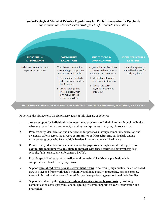#### **Socio-Ecological Model of Priority Populations for Early Intervention in Psychosis**

*Adapted from the Massachusetts Strategic Plan for Suicide Prevention*



CHALLENGING STIGMA & INCREASING KNOWLEDGE ABOUT PSYCHOSIS SYMPTOMS, TREATMENT, & RECOVERY

Following this framework, the six primary goals of this plan are as follows:

- 1. Assure support for **individuals who experience psychosis and their families** through individual advocacy opportunities, community-building, and specialized early psychosis services.
- 2. Promote early identification and intervention for psychosis through community education and awareness efforts across the **diverse communities of Massachusetts**, particularly among underserved groups who face multiple barriers in accessing mental healthcare.
- 3. Promote early identification and intervention for psychosis through specialized supports for **community members who are likely to interact with those experiencing psychosis** (e.g. schools, faith leaders, law enforcement, EMTs).
- 4. Provide specialized support to **medical and behavioral healthcare professionals** in competencies related to early psychosis.
- 5. Support **specialized early psychosis treatment teams** in delivering high-quality, evidence-based care in a stepped framework that is culturally and linguistically appropriate, person centered, trauma informed, and recovery focused for people experiencing psychosis and their families.
- 6. Support and develop the **statewide system of services for early psychosis** by fostering communication across programs and integrating systemic supports for early intervention and prevention.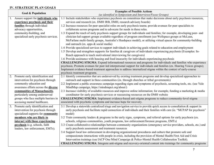### **IV. STRATEGIC PLAN GOALS**

| <b>Goal &amp; Population</b>                                             | <b>Examples of Possible Actions</b>                                                                                                                                                                            |
|--------------------------------------------------------------------------|----------------------------------------------------------------------------------------------------------------------------------------------------------------------------------------------------------------|
|                                                                          | (as identified in Symposium and Interviews/Focus Groups)                                                                                                                                                       |
| Assure support for <b>individuals who</b>                                | 1.1 Include stakeholders who experience psychosis on committees that make decisions about early psychosis resources,                                                                                           |
| experience psychosis and their                                           | services and research (ex. DMH IRB, DMH, research advisory boards)                                                                                                                                             |
| families through individual                                              | 1.2 Increase resources for peer specialist roles on early psychosis teams; provide avenues for peer specialists to                                                                                             |
| advocacy opportunities,                                                  | collaborate across programs and to advocate for needs in these roles.                                                                                                                                          |
| community-building, and                                                  | 1.3 Expand the reach of early psychosis support groups for individuals and families; for example, developing peer- and                                                                                         |
| specialized early psychosis services.                                    | clinician-led support groups available regardless of program enrollment (see Wellspace groups at McLean,                                                                                                       |
|                                                                          | McFarlane multi-family groups, Australia's Headspace model), or utilizing virtual spaces for community-building<br>and outreach (ex. apps & social media)                                                      |
|                                                                          | 1.4 Provide specialized services to support individuals in achieving goals related to education and employment                                                                                                 |
|                                                                          | 1.5 Develop and strengthen supports for families & caregivers of individuals experiencing psychosis (Examples: In-                                                                                             |
|                                                                          | Reach approach to teach motivational interviewing for caregivers)                                                                                                                                              |
|                                                                          | 1.6 Provide assistance with housing and food insecurity for individuals experiencing psychosis                                                                                                                 |
|                                                                          | <b>CHALLENGING STIGMA:</b> Expand informational resources and programs for individuals and families who experience                                                                                             |
|                                                                          | psychosis; Promote avenues for peer-led interpersonal support for individuals and families (ex. Hearing Voices groups);                                                                                        |
|                                                                          | Implement evidence-based treatment approaches to address internalized stigma within the context of early-course                                                                                                |
|                                                                          | psychosis treatment programs.                                                                                                                                                                                  |
| Promote early identification and                                         | 2.1 Identify communities that are underserved by existing treatment programs and develop specialized approaches to                                                                                             |
| intervention for psychosis through                                       | outreach and support in these communities (ex. through churches or tribal governments)                                                                                                                         |
| community education and                                                  | 2.2 Implement a public awareness campaign regarding signs and symptoms of psychosis, screening tools, etc. (see Yale                                                                                           |
| awareness efforts across the <b>diverse</b>                              | MindMap campaign, https://mindmapct.org/about/)                                                                                                                                                                |
| communities of Massachusetts,                                            | 2.3 Increase visibility of available resources and improve online information; for example, funding a marketing & media                                                                                        |
| particularly among underserved<br>groups who face multiple barriers in   | coordinator for early psychosis services or reassessing resources on the DMH website                                                                                                                           |
| accessing mental healthcare.                                             | CHALLENGING STIGMA: Implement evidence-based anti-stigma programs to reduce community-level stigma<br>associated with psychotic symptoms and increase hope for recovery.                                       |
|                                                                          |                                                                                                                                                                                                                |
| 3. Promote early identification and                                      | 3.1 Develop a statewide centralized triage and navigation service to provide quick access to consultation & support in                                                                                         |
| intervention for psychosis through<br>specialized supports for community | early psychosis and facilitate rapid connection of individuals and their families with care (ie. "MCPAP for psychosis"<br>model)                                                                               |
| members who are likely to                                                |                                                                                                                                                                                                                |
|                                                                          | 3.2 Train community leaders & programs in the early signs, symptoms, and referral options for early psychosis (ex.<br>schools, religious communities, youth programs, law enforcement/forensic programs, EMTs) |
| interact with those experiencing                                         | 3.3 Create collaborative relationships between community organizations (emergency service providers, schools, etc.) and                                                                                        |
| psychosis (e.g. schools, faith<br>leaders, law enforcement, EMTs).       | early psychosis assessment and treatment resources                                                                                                                                                             |
|                                                                          | 3.4 Support local law enforcement in developing organizational procedures and culture that promote safe and                                                                                                    |
|                                                                          | compassionate interactions with people in crisis, including the provision of Mental Health First Aid and Crisis                                                                                                |
|                                                                          | Intervention trainings (see IACP One Mind Campaign & Police-Mental Health Collaboration Toolkit).                                                                                                              |
|                                                                          | CHALLENGING STIGMA: Integrate anti-stigma and recovery-oriented content into trainings for community programs                                                                                                  |
|                                                                          |                                                                                                                                                                                                                |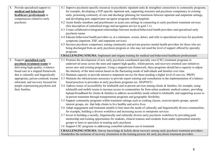| 4. | Provide specialized support to                                             | 4.1 Improve psychosis-specific resources in psychiatric inpatient units & strengthen connections to community programs;                                                                                                       |
|----|----------------------------------------------------------------------------|-------------------------------------------------------------------------------------------------------------------------------------------------------------------------------------------------------------------------------|
|    | medical and behavioral                                                     | for example, developing a FEP-specific inpatient unit, supporting structure and psychosis competency in existing                                                                                                              |
|    | healthcare professionals in                                                | units, promoting continuity of care and discharge planning for transitions between inpatient and outpatient settings,                                                                                                         |
|    | competencies related to early                                              | and developing peer support/peer navigator programs within hospitals                                                                                                                                                          |
|    | psychosis.                                                                 | 4.2 Assist family members and practitioners in acute care settings in connecting to early psychosis treatment services                                                                                                        |
|    |                                                                            | (See description of centralized triage and navigation service in goal 3.1)                                                                                                                                                    |
|    |                                                                            | 4.3 Create collaborative/integrated relationships between medical/behavioral health providers and specialized early<br>psychosis teams                                                                                        |
|    |                                                                            | 4.4 Educate behavioral health providers to, at a minimum, screen, detect, and refer to specialized services for psychotic                                                                                                     |
|    |                                                                            | symptoms (inpatient, ESP, and outpatient services)                                                                                                                                                                            |
|    |                                                                            | 4.5 Increase psychosis competency among community and private practice mental health providers for those who are                                                                                                              |
|    |                                                                            | being discharged from an early psychosis program or who may not need the level of support offered by specialty                                                                                                                |
|    |                                                                            | programs                                                                                                                                                                                                                      |
|    |                                                                            | CHALLENGING STIGMA: Implement anti-stigma training for medical and behavioral healthcare professionals                                                                                                                        |
| 5. | Support specialized early                                                  | 5.1 Promote the development of new early psychosis coordinated specialty care (CSC) treatment programs in                                                                                                                     |
|    |                                                                            | underserved areas across the state and support high-quality, whole-person, and recovery-oriented care initiatives                                                                                                             |
|    | psychosis treatment teams in<br>delivering high-quality, evidence-         | across new and existing programs. Using a stepped-care framework, these programs should have capacity to adjust                                                                                                               |
|    | based care in a stepped framework                                          | the intensity of the intervention based on the fluctuating needs of individuals and families over time                                                                                                                        |
|    |                                                                            |                                                                                                                                                                                                                               |
|    | that is culturally and linguistically                                      | 5.2 Maintain capacity to provide intensive outpatient service for those needing a higher level of care (ex. PREP)                                                                                                             |
|    | appropriate, person centered, trauma<br>informed, and recovery focused for | 5.3 Maintain the infrastructure necessary to provide expert training and consultation in the implementation of evidence-<br>based practices to providers in early psychosis programs (ex. MAPNET)                             |
|    | people experiencing psychosis and                                          | 5.4 Address issues of accessibility for telehealth and in-person services among clients & families; for example, using                                                                                                        |
|    | their families.                                                            | telehealth and mobile teams to increase access in communities far from urban academic medical centers, providing                                                                                                              |
|    |                                                                            | laptops/broadband for clients & families to address accessibility needs related to telehealth, and supporting access to                                                                                                       |
|    |                                                                            | in-person treatment through transportation programs and geographic flexibility                                                                                                                                                |
|    |                                                                            | 5.5 Support community programs within treatment settings such as cooking classes, exercise/sports groups, special<br>interest groups, etc. that help clients to live healthy and active lives                                 |
|    |                                                                            | 5.6 Adapt engagement and treatment models to best meet the needs of culturally and linguistically diverse communities;                                                                                                        |
|    |                                                                            | for example, building a diverse workforce and increasing access to interpreter services                                                                                                                                       |
|    |                                                                            | 5.7 Invest in building a racially, linguistically and culturally diverse early psychosis workforce by providing paid                                                                                                          |
|    |                                                                            | mentorship and training opportunties for students, clinical trainees and residents from under-represented minority                                                                                                            |
|    |                                                                            | groups to learn to specialize in treating early psychosis                                                                                                                                                                     |
|    |                                                                            | 5.8 Support CSC programs in addressing comorbid substance use in treatment                                                                                                                                                    |
|    |                                                                            | CHALLENGING STIGMA: Survey knowledge & beliefs about recovery among early psychosis treatment providers;<br>Standardize the inclusion of recovery orientation in the training process for early psychosis treatment providers |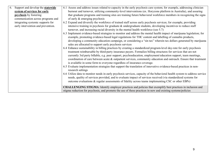| 6. | Support and develop the <b>statewide</b> | 6.1 Assess and address issues related to capacity in the early psychosis care system; for example, addressing clinician    |
|----|------------------------------------------|----------------------------------------------------------------------------------------------------------------------------|
|    | system of services for early             | burnout and turnover, utilizing community-level interventions (ex. Horyzons platform in Australia), and assuring           |
|    | <b>psychosis</b> by fostering            | that graduate programs and training sites are training future behavioral workforce members in recognizing the signs        |
|    | communication across programs and        | of early $&$ emerging psychosis                                                                                            |
|    | integrating systemic supports for        | 6.2 Expand and diversify the workforce of trained staff across early psychosis services; for example, providing            |
|    | early intervention and prevention.       | intensive training in psychosis for graduate & undergraduate students, developing incentives to reduce staff               |
|    |                                          | turnover, and increasing racial diversity in the mental health workforce (see 5.7)                                         |
|    |                                          | 6.3 Implement evidence-based strategies to monitor and address the mental health impact of marijuana legislation; for      |
|    |                                          | example, promoting evidence-based legal regulations for THC content and labelling of cannabis products,                    |
|    |                                          | developing a community education campaign, or considering a "sin tax" wherein tax dollars generated by marijuana           |
|    |                                          | sales are allocated to support early psychosis services                                                                    |
|    |                                          | 6.4 Enhance sustainability in billing practices by creating a standardized program-level day-rate for early psychosis      |
|    |                                          | treatment reimbursable by third-party insurance payers. Formalize billing structures for services that are not             |
|    |                                          | currently 3rd party billable, e.g. peer support, psychoeducation, employment/education support, team meetings,             |
|    |                                          | coordination of care between acute & outpatient services, community education and outreach. Ensure that treatment          |
|    |                                          | is available in some form to everyone regardless of insurance coverage.                                                    |
|    |                                          | 6.5 Evaluate implementation strategies that support the translation of innovative evidence-based practices in non-         |
|    |                                          | research settings                                                                                                          |
|    |                                          | 6.6 Utilize data to monitor needs in early psychosis services, capacity of the behavioral health system to address service |
|    |                                          | needs, quality of services provided, and to evaluate impact of services received (via standardized systems for             |
|    |                                          | outcome evaluations & regular assessments of fidelity across teams implementing CSC or other EBPs)                         |
|    |                                          |                                                                                                                            |
|    |                                          | <b>CHALLENGING STIGMA:</b> Identify employer practices and policies that exemplify best practices in inclusion and         |
|    |                                          | stigma reduction for psychosis, and promote the use of these practices in new and existing systems/policies                |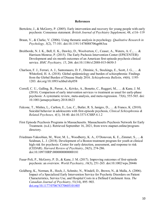#### **References**

- Bertolote, J., & McGorry, P. (2005). Early intervention and recovery for young people with early psychosis: Consensus statement. *British Journal of Psychiatry Supplement*, 48, s116–119
- Braun, V., & Clarke, V. (2006). Using thematic analysis in psychology. *Qualitative Research in Psychology, 3*(2), 77-101. doi:10.1191/1478088706qp063oa
- Breitborde, N. J. K., Bell, E. K., Dawley, D., Woolverton, C., Ceaser, A., Waters, A. C., … & Harrison-Monroe, P. (2015). The Early Pschosis Intervention Center (EPICENTER): Development and six-month outcomes of an American first-episode psychosis clinical service. *BMC Psychiatry, 15*, 266. doi:10.1186/s12888-015-0650-3
- Charlson, F. J., Ferrari, A. J., Santomauro, D. F., Diminic, S., Stockings, E., Scott, J. G., … & Whiteford, H. A. (2018). Global epidemiology and burden of schizophrenia: Findings from the Global Burden of Disease Study 2016. *Schizophrenia Bulletin*, *44*(6)*,* 1195- 1203. doi.org/10.1093/schbul/sby058
- Correll, C. U., Galling, B., Pawar, A., Krivko, A., Bonetto, C., Ruggeri, M., … & Kane, J. M. (2018). Comparison of early intervention services vs treatment as usual for early-phase psychosis: A systematic review, meta-analysis, and meta-regression. *75*(6), 555-565. doi: 10.1001/jamapsychiatry.2018.0623
- Falcone, T., Mishra, L., Carlton, E., Lee, C., Butler, R. S, Janigro, D., … & Franco, K. (2010). Suicidal behavior in adolescents with first-episode psychosis, *Clinical Schizophrenia & Related Psychoses, 4*(1)*,* 34-40. doi:10.3371/CSRP.4.1.2
- First Episode Psychosis Programs in Massachusetts. Massachusetts Psychosis Network for Early Treatment. (n.d.). Retrieved September 16, 2021, from www.mapnet.online/programdirectory.
- Friedman-Yakoobian, M., West, M. L., Woodberry, K. A., O'Donovan, K. E., Zimmet, S., ... & Seidman, L. J. (2018). Development of a Boston treatment program for youth at clinical high risk for psychosis: Center for early detection, assessment, and response to risk (CEDAR). *Harvard Review of Psychiatry*, *26*(5), 274-286. doi:10.1097/HRP.0000000000000181
- Fusar-Poli, P., McGorry, P. D., & Kane, J. M. (2017). Improving outcomes of first-episode psychosis: an overview. *World Psychiatry*, *16*(3), 251-265. doi:10.1002/wps.20446
- Goldberg, K., Norman, R., Hoch, J., Schmitz, N., Windell, D., Brown, N., & Malla, A. (2006). Impact of a Specialized Early Intervention Service for Psychotic Disorders on Patient Characteristics, Service Use, and Hospital Costs in a Defined Catchment Area. *The Canadian Journal of Psychiatry*, 51(14), 895–903. [doi.org/10.1177/070674370605101405](https://doi.org/10.1177/070674370605101405)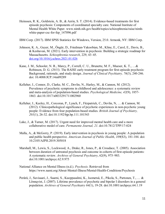Heinssen, R. K., Goldstein, A. B., & Azrin, S. T. (2014). Evidence-based treatments for first episode psychosis: Components of coordinated specialty care. National Institute of Mental Health White Paper. www.nimh.nih.gov/health/topics/schizophrenia/raise/nimhwhite-paper-csc-for-fep\_147096.pdf

IBM Corp. (2017). IBM SPSS Statistics for Windows, Version, 25.0. Armonk, NY: IBM Corp.

- Johnson, K. A., Guyer, M., Öngür, D., Friedman-Yakoobian, M., Kline, E., Carol, E., Davis, B., & Keshavan, M. (2021). Early intervention in psychosis: Building a strategic roadmap for Massachusetts. *Schizophrenia research*, 229, 43–45. [doi.org/10.1016/j.schres.2021.01.026](https://doi.org/10.1016/j.schres.2021.01.026)
- Kane, J. M., Schooler, N. R., Marcy, P., Correll, C. U., Brunette, M. F., Mueser, K. T., …& Robinson, D. G. *(2015).* The RAISE early treatment program for first-episode psychosis: Background, rationale, and study design. *Journal of Clinical Psychiatry, 76*(3), 240-246. doi: 10.4088/JCP.14m09289
- Kelleher, I., Connor, D., Clarke, M. C., Devlin, N., Harley, M., & Cannon, M. (2012). Prevalence of psychotic symptoms in childhood and adolescence: a systematic review and meta-analysis of population-based studies. *Psychological Medicine, 42*(9), 1857- 1863. doi:10.1017/s0033291711002960
- Kelleher, I., Keeley, H., Corcoran, P., Lynch, F., Fitzpatrick, C., Devlin, N, … & Cannon, M. (2012). Clinicopathological significance of psychotic experiences in non-psychotic young people: Evidence from four population-based studies. *British Journal of Psychiatry, 201*(1), 26-32. doi:10.1192/bjp.bp.111.101543
- Lake, J., & Turner, M. (2017). Urgent need for improved mental health care and a more collaborative model of care. *Permanente Journal, 21*. doi:10.7812/TPP/17-024
- Malla, A., & McGorry, P. (2019). Early intervention in psychosis in young people: A population and public health perspective. *American Journal of Public Health*, *109*(S3), 181-184. doi: 10.2105/AJPH.2019.305018
- Marshall, M., Lewis, S., Lockwood, A., Drake, R., Jones, P., & Croudace, T. (2005). Association between duration of untreated psychosis and outcome in cohorts of first-episode patients: A systematic review. *Archives of General Psychiatry*, 62(9), 975–983. doi:10.1001/archpsyc.62.9.975
- National Alliance on Mental Illness (n.d.). *Psychosis*. Retrieved from https://www.nami.org/About-Mental-Illness/Mental-Health-Conditions/Psychosis
- Perärä, J., Suvisaari, J., Saarni, S., Kuoppasalmi, K., Isometsä, E., Pikola, S., Partonen, T., … & Lönnqvist, J. (2007). Lifetime prevalence of psychotic and bipolar I disorders in a general population. *Archives of General Psychiatry 64*(1), 19-28. doi:10.1001/archpsyc.64.1.19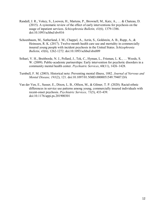- Randall, J. R., Vokey, S., Loewen, H., Martens, P., Brownell, M., Katz, A., … & Chateau, D. (2015). A systematic review of the effect of early interventions for psychosis on the usage of inpatient services. *Schizophrenia Bulletin, 41*(6)*,* 1379-1386. doi:10.1093/schbul/sbv016
- Schoenbaum, M., Sutherland, J. M., Chappel, A., Azrin, S., Goldstein, A. B., Rupp, A., & Heinssen, R. K. (2017). Twelve-month health care use and mortality in commercially insured young people with incident psychosis in the United States. *Schizophrenia Bulletin, 43*(6), 1262-1272. doi:10.1093/schbul/sbx009
- Srihari, V. H., Breitborde, N. J., Pollard, J., Tek, C., Hyman, L., Frisman, L. K., … Woods, S. W. (2009). Public-academic partnerships: Early intervention for psychotic disorders in a community mental health center. *Psychiatric Services*, 60(11), 1426–1428.
- Turnbull, F. M. (2003). Historical note: Preventing mental illness, 1882. *Journal of Nervous and Mental Disease, 191*(2), 121. doi:10.1097/01.NMD.0000051549.79407.DA
- Van der Ven, E., Susser, E., Dixon, L. B., Olfson, M., & Gilmer, T. P. (2020). Racial-ethnic differences in service use patterns among young, commercially insured individuals with recent-onset psychosis. *Psychiatric Services, 71*(5), 433-439. doi:10.1176/appi.ps.201900301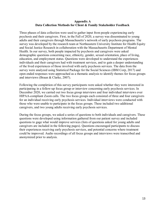#### **Appendix A Data Collection Methods for Client & Family Stakeholder Feedback**

Three phases of data collection were used to gather input from people experiencing early psychosis and their caregivers. First, in the Fall of 2020, a survey was disseminated to young adults and their caregivers through Massachusetts's network of early psychosis programs. The survey was developed by the research team at Northeastern University Institute for Health Equity and Social Justice Research in collaboration with the Massachusetts Department of Mental Health. In our survey, both people impacted by psychosis and caregivers were asked demographic questions concerning race, ethnicity, gender, sexual orientation, place of living, education, and employment status. Questions were developed to understand the experiences individuals and their caregivers had with treatment services, and to gain a deeper understanding of the lived experiences of those involved with early psychosis services. The data from the survey were analyzed using Statistical Package for the Social Sciences (IBM Corp, 2017) and open ended responses were approached as a thematic analysis to identify themes for focus groups and interviews (Braun & Clarke, 2007).

Following the completion of this survey participants were asked whether they were interested in participating in a follow-up focus group or interview concerning early psychosis services. In December 2020, we carried out two focus group interviews and four individual interviews over HIPAA-compliant Zoom calls. The two focus groups each consisted of three and four caregivers for an individual receiving early psychosis services. Individual interviews were conducted with those who were unable to participate in the focus groups. These included two additional caregivers, and two young adults receiving early psychosis services.

During the focus groups, we asked a series of questions to both individuals and caregivers. These questions were developed using information gathered from our patient survey and included questions to gage what would improve services (lists of questions asked for young adults and caregivers are included in the following pages). Questions encouraged participants to discuss their experiences receiving early psychosis services, and potential concerns where treatment could be improved. Audio recordings of all focus groups and interviews were transcribed and anonymized prior to analysis.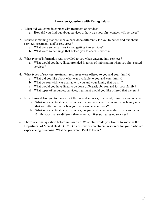#### **Interview Questions with Young Adults**

- 1. When did you come in contact with treatment or services?
	- a. How did you find out about services or how was your first contact with services?
- 2. Is there something that could have been done differently for you to better find out about services, treatment, and/or resources?
	- a. What were some barriers to you getting into services?
	- b. What were some things that helped you to access services?
- 3. What type of information was provided to you when entering into services?
	- a. What would you have liked provided in terms of information when you first started services?
- 4. What types of services, treatment, resources were offered to you and your family?
	- a. What did you like about what was available to you and your family?
	- b. What do you wish was available to you and your family that wasn't?
	- c. What would you have liked to be done differently for you and for your family?
	- d. What types of resources, services, treatment would you like offered that weren't?
- 5. Now, I would like you to think about the current services, treatment, resources you receive.
	- a. What services, treatment, resources that are available to you and your family now that are different than when you first came into services?
	- b. What services, treatment, resources, do you wish were available to you and your family now that are different than when you first started using services?
- 6. I have one final question before we wrap up. What else would you like us to know as the Department of Mental Health (DMH) plans services, treatment, resources for youth who are experiencing psychosis. What do you want DMH to know?